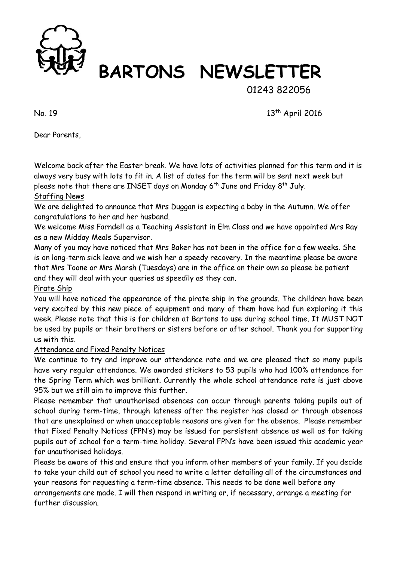

## **BARTONS NEWSLETTER**

01243 822056

 $N_0$ . 19 13<sup>th</sup> April 2016

Dear Parents,

Welcome back after the Easter break. We have lots of activities planned for this term and it is always very busy with lots to fit in. A list of dates for the term will be sent next week but please note that there are INSET days on Monday  $6<sup>th</sup>$  June and Friday  $8<sup>th</sup>$  July.

### Staffing News

We are delighted to announce that Mrs Duggan is expecting a baby in the Autumn. We offer congratulations to her and her husband.

We welcome Miss Farndell as a Teaching Assistant in Elm Class and we have appointed Mrs Ray as a new Midday Meals Supervisor.

Many of you may have noticed that Mrs Baker has not been in the office for a few weeks. She is on long-term sick leave and we wish her a speedy recovery. In the meantime please be aware that Mrs Toone or Mrs Marsh (Tuesdays) are in the office on their own so please be patient and they will deal with your queries as speedily as they can.

#### Pirate Ship

You will have noticed the appearance of the pirate ship in the grounds. The children have been very excited by this new piece of equipment and many of them have had fun exploring it this week. Please note that this is for children at Bartons to use during school time. It MUST NOT be used by pupils or their brothers or sisters before or after school. Thank you for supporting us with this.

#### Attendance and Fixed Penalty Notices

We continue to try and improve our attendance rate and we are pleased that so many pupils have very regular attendance. We awarded stickers to 53 pupils who had 100% attendance for the Spring Term which was brilliant. Currently the whole school attendance rate is just above 95% but we still aim to improve this further.

Please remember that unauthorised absences can occur through parents taking pupils out of school during term-time, through lateness after the register has closed or through absences that are unexplained or when unacceptable reasons are given for the absence. Please remember that Fixed Penalty Notices (FPN's) may be issued for persistent absence as well as for taking pupils out of school for a term-time holiday. Several FPN's have been issued this academic year for unauthorised holidays.

Please be aware of this and ensure that you inform other members of your family. If you decide to take your child out of school you need to write a letter detailing all of the circumstances and your reasons for requesting a term-time absence. This needs to be done well before any arrangements are made. I will then respond in writing or, if necessary, arrange a meeting for further discussion.